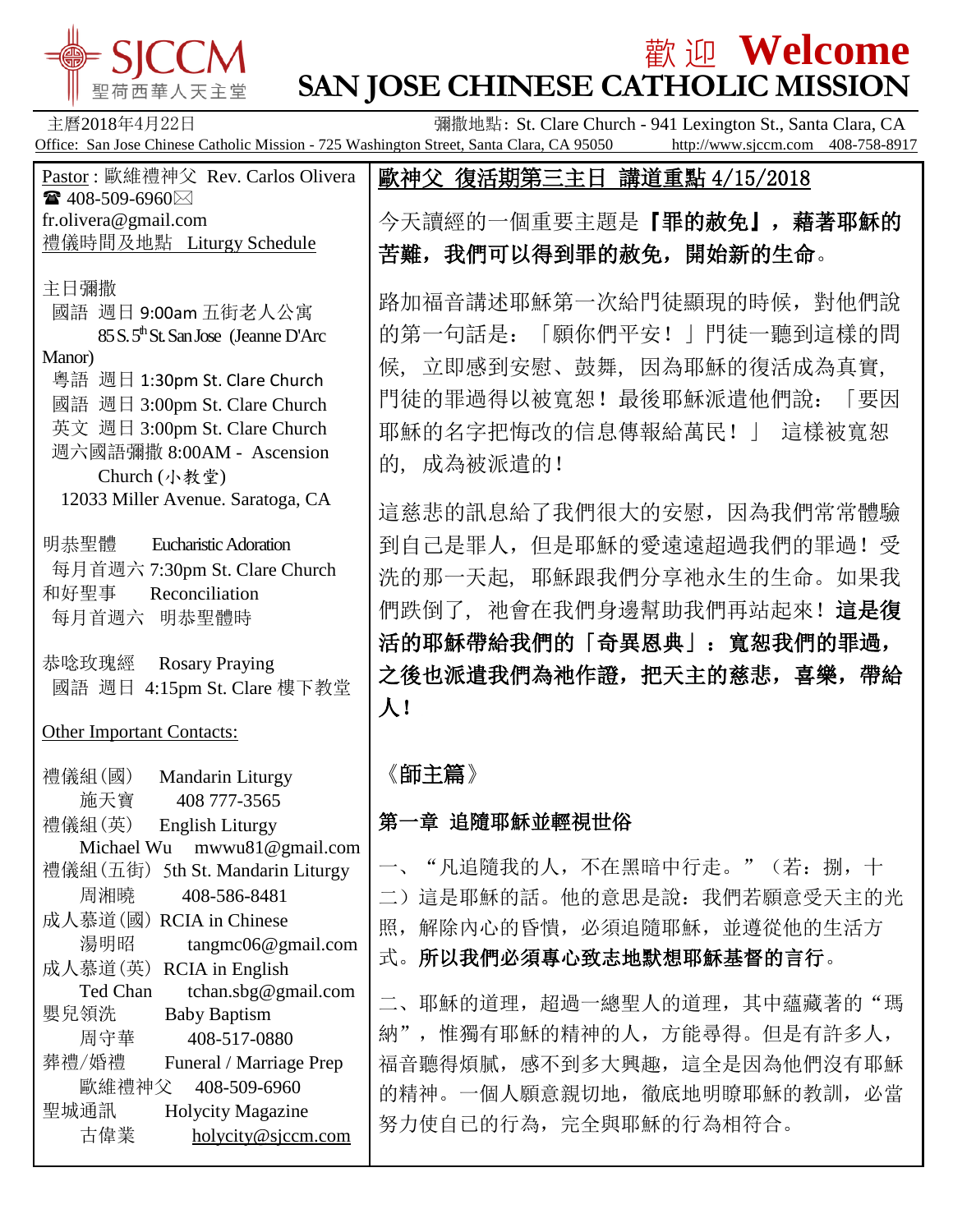

# 歡 迎 **Welcome SAN JOSE CHINESE CATHOLIC MISSION**

主曆2018年4月22日 彌撒地點: St. Clare Church - 941 Lexington St., Santa Clara, CA Office: San Jose Chinese Catholic Mission - 725 Washington Street, Santa Clara, CA 95050 http://www.sjccm.com 408-758-8917

Pastor : 歐維禮神父 Rev. Carlos Olivera  $\bullet$  408-509-6960 $\boxtimes$ fr.olivera@gmail.com 禮儀時間及地點 Liturgy Schedule

主日彌撒

- 國語 週日 9:00am 五街老人公寓 85 S. 5<sup>th</sup> St. San Jose (Jeanne D'Arc) Manor) 粵語 週日 1:30pm St. Clare Church
- 國語 週日 3:00pm St. Clare Church 英文 週日 3:00pm St. Clare Church 週六國語彌撒 8:00AM - Ascension
- Church (小教堂) 12033 Miller Avenue. Saratoga, CA
- 明恭聖體 Eucharistic Adoration 每月首週六 7:30pm St. Clare Church 和好聖事 Reconciliation 每月首週六 明恭聖體時
- 恭唸玫瑰經 Rosary Praying 國語 週日 4:15pm St. Clare 樓下教堂

Other Important Contacts:

禮儀組(國) Mandarin Liturgy 施天寶 408 777-3565 禮儀組(英) English Liturgy Michael Wu mwwu81@gmail.com 禮儀組(五街) 5th St. Mandarin Liturgy 周湘曉 408-586-8481 成人慕道(國) RCIA in Chinese 湯明昭 tangmc06@gmail.com 成人慕道(英) RCIA in English Ted Chan tchan.sbg@gmail.com 嬰兒領洗 Baby Baptism 周守華 408-517-0880 葬禮/婚禮 Funeral / Marriage Prep 歐維禮神父 408-509-6960 聖城通訊 Holycity Magazine 古偉業 [holycity@sjccm.com](mailto:holycity@sjccm.com)

歐神父 復活期第三主日 講道重點 4/15/2018

 $\overline{\phantom{a}}$ 今天讀經的一個重要主題是『罪的赦免』, 藉著耶穌的 苦難,我們可以得到罪的赦免,開始新的生命。

路加福音講述耶穌第一次給門徒顯現的時候,對他們說 的第一句話是:「願你們平安!」門徒一聽到這樣的問 候, 立即感到安慰、鼓舞, 因為耶穌的復活成為真實, 門徒的罪過得以被寬恕!最後耶穌派遣他們說:「要因 耶穌的名字把悔改的信息傳報給萬民!」 這樣被寬恕 的, 成為被派遣的!

這慈悲的訊息給了我們很大的安慰,因為我們常常體驗 到自己是罪人,但是耶穌的愛遠遠超過我們的罪過!受 洗的那一天起, 耶穌跟我們分享祂永生的生命。如果我 們跌倒了, 祂會在我們身邊幫助我們再站起來!這是復 活的耶穌帶給我們的「奇異恩典」:寬恕我們的罪過, 之後也派遣我們為祂作證,把天主的慈悲,喜樂,帶給 人!

《師主篇》

第一章 追隨耶穌並輕視世俗

一、"凡追隨我的人,不在黑暗中行走。"(若:捌,十 二)這是耶穌的話。他的意思是說:我們若願意受天主的光 照,解除內心的昏情,必須追隨耶穌,並遵從他的生活方

式。所以我們必須專心致志地默想耶穌基督的言行。

二、耶穌的道理,超過一總聖人的道理,其中蘊藏著的"瑪 納",惟獨有耶穌的精神的人,方能尋得。但是有許多人, 福音聽得煩膩,感不到多大興趣,這全是因為他們沒有耶穌 的精神。一個人願意親切地,徹底地明瞭耶穌的教訓,必當 努力使自已的行為,完全與耶穌的行為相符合。